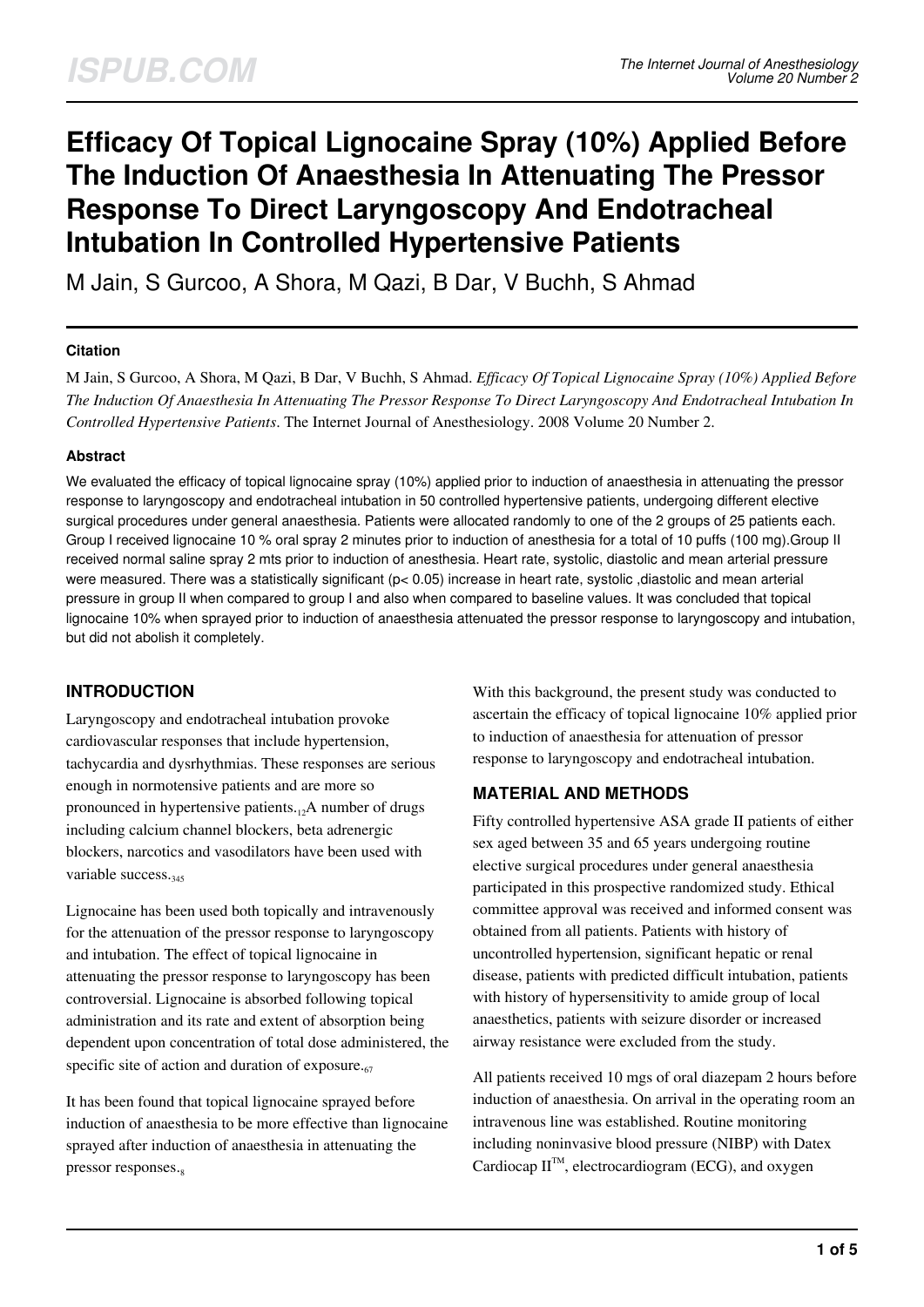# **Efficacy Of Topical Lignocaine Spray (10%) Applied Before The Induction Of Anaesthesia In Attenuating The Pressor Response To Direct Laryngoscopy And Endotracheal Intubation In Controlled Hypertensive Patients**

M Jain, S Gurcoo, A Shora, M Qazi, B Dar, V Buchh, S Ahmad

## **Citation**

M Jain, S Gurcoo, A Shora, M Qazi, B Dar, V Buchh, S Ahmad. *Efficacy Of Topical Lignocaine Spray (10%) Applied Before The Induction Of Anaesthesia In Attenuating The Pressor Response To Direct Laryngoscopy And Endotracheal Intubation In Controlled Hypertensive Patients*. The Internet Journal of Anesthesiology. 2008 Volume 20 Number 2.

## **Abstract**

We evaluated the efficacy of topical lignocaine spray (10%) applied prior to induction of anaesthesia in attenuating the pressor response to laryngoscopy and endotracheal intubation in 50 controlled hypertensive patients, undergoing different elective surgical procedures under general anaesthesia. Patients were allocated randomly to one of the 2 groups of 25 patients each. Group I received lignocaine 10 % oral spray 2 minutes prior to induction of anesthesia for a total of 10 puffs (100 mg).Group II received normal saline spray 2 mts prior to induction of anesthesia. Heart rate, systolic, diastolic and mean arterial pressure were measured. There was a statistically significant ( $pc$  0.05) increase in heart rate, systolic, diastolic and mean arterial pressure in group II when compared to group I and also when compared to baseline values. It was concluded that topical lignocaine 10% when sprayed prior to induction of anaesthesia attenuated the pressor response to laryngoscopy and intubation, but did not abolish it completely.

# **INTRODUCTION**

Laryngoscopy and endotracheal intubation provoke cardiovascular responses that include hypertension, tachycardia and dysrhythmias. These responses are serious enough in normotensive patients and are more so pronounced in hypertensive patients. $\alpha$ <sup>1</sup>A number of drugs including calcium channel blockers, beta adrenergic blockers, narcotics and vasodilators have been used with variable success.<sub>345</sub>

Lignocaine has been used both topically and intravenously for the attenuation of the pressor response to laryngoscopy and intubation. The effect of topical lignocaine in attenuating the pressor response to laryngoscopy has been controversial. Lignocaine is absorbed following topical administration and its rate and extent of absorption being dependent upon concentration of total dose administered, the specific site of action and duration of exposure. $\epsilon_6$ 

It has been found that topical lignocaine sprayed before induction of anaesthesia to be more effective than lignocaine sprayed after induction of anaesthesia in attenuating the pressor responses.

With this background, the present study was conducted to ascertain the efficacy of topical lignocaine 10% applied prior to induction of anaesthesia for attenuation of pressor response to laryngoscopy and endotracheal intubation.

# **MATERIAL AND METHODS**

Fifty controlled hypertensive ASA grade II patients of either sex aged between 35 and 65 years undergoing routine elective surgical procedures under general anaesthesia participated in this prospective randomized study. Ethical committee approval was received and informed consent was obtained from all patients. Patients with history of uncontrolled hypertension, significant hepatic or renal disease, patients with predicted difficult intubation, patients with history of hypersensitivity to amide group of local anaesthetics, patients with seizure disorder or increased airway resistance were excluded from the study.

All patients received 10 mgs of oral diazepam 2 hours before induction of anaesthesia. On arrival in the operating room an intravenous line was established. Routine monitoring including noninvasive blood pressure (NIBP) with Datex Cardiocap  $II^{\mathbb{M}}$ , electrocardiogram (ECG), and oxygen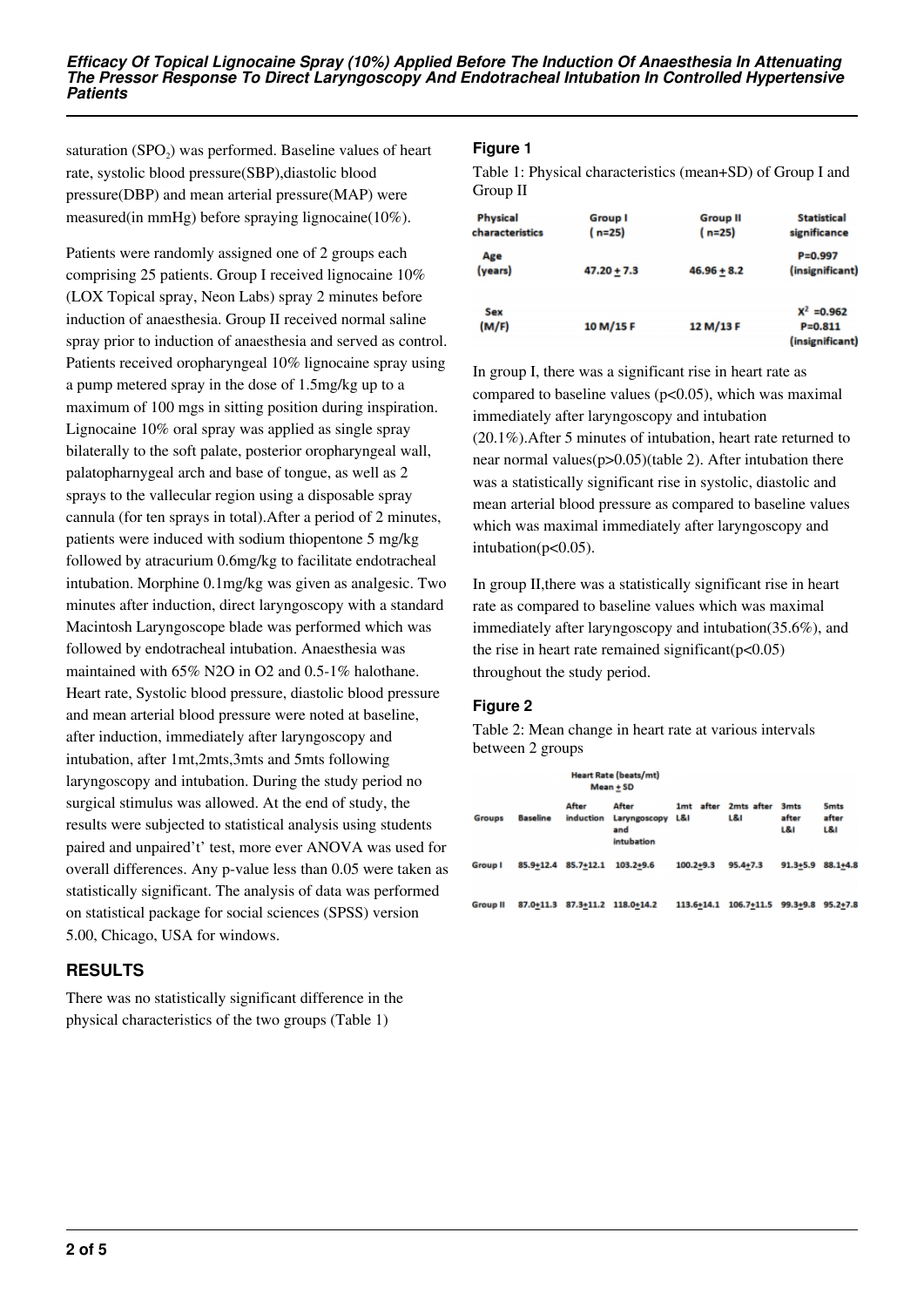saturation  $(SPO<sub>2</sub>)$  was performed. Baseline values of heart rate, systolic blood pressure(SBP),diastolic blood pressure(DBP) and mean arterial pressure(MAP) were measured(in mmHg) before spraying lignocaine(10%).

Patients were randomly assigned one of 2 groups each comprising 25 patients. Group I received lignocaine 10% (LOX Topical spray, Neon Labs) spray 2 minutes before induction of anaesthesia. Group II received normal saline spray prior to induction of anaesthesia and served as control. Patients received oropharyngeal 10% lignocaine spray using a pump metered spray in the dose of 1.5mg/kg up to a maximum of 100 mgs in sitting position during inspiration. Lignocaine 10% oral spray was applied as single spray bilaterally to the soft palate, posterior oropharyngeal wall, palatopharnygeal arch and base of tongue, as well as 2 sprays to the vallecular region using a disposable spray cannula (for ten sprays in total).After a period of 2 minutes, patients were induced with sodium thiopentone 5 mg/kg followed by atracurium 0.6mg/kg to facilitate endotracheal intubation. Morphine 0.1mg/kg was given as analgesic. Two minutes after induction, direct laryngoscopy with a standard Macintosh Laryngoscope blade was performed which was followed by endotracheal intubation. Anaesthesia was maintained with 65% N2O in O2 and 0.5-1% halothane. Heart rate, Systolic blood pressure, diastolic blood pressure and mean arterial blood pressure were noted at baseline, after induction, immediately after laryngoscopy and intubation, after 1mt,2mts,3mts and 5mts following laryngoscopy and intubation. During the study period no surgical stimulus was allowed. At the end of study, the results were subjected to statistical analysis using students paired and unpaired't' test, more ever ANOVA was used for overall differences. Any p-value less than 0.05 were taken as statistically significant. The analysis of data was performed on statistical package for social sciences (SPSS) version 5.00, Chicago, USA for windows.

# **RESULTS**

There was no statistically significant difference in the physical characteristics of the two groups (Table 1)

## **Figure 1**

Table 1: Physical characteristics (mean+SD) of Group I and Group II

| <b>Physical</b> | <b>Group I</b> | <b>Group II</b> | <b>Statistical</b>                    |
|-----------------|----------------|-----------------|---------------------------------------|
| characteristics | $(n=25)$       | $(n=25)$        | significance                          |
| Age             |                |                 | $P = 0.997$                           |
| (years)         | $47.20 + 7.3$  | $46.96 + 8.2$   | (insignificant)                       |
| Sex             |                |                 | $X^2 = 0.962$                         |
| (M/F)           | 10 M/15 F      | 12 M/13 F       | $P = 0.811$<br><i>(insignificant)</i> |

In group I, there was a significant rise in heart rate as compared to baseline values ( $p<0.05$ ), which was maximal immediately after laryngoscopy and intubation (20.1%).After 5 minutes of intubation, heart rate returned to near normal values(p>0.05)(table 2). After intubation there was a statistically significant rise in systolic, diastolic and mean arterial blood pressure as compared to baseline values which was maximal immediately after laryngoscopy and intubation( $p<0.05$ ).

In group II,there was a statistically significant rise in heart rate as compared to baseline values which was maximal immediately after laryngoscopy and intubation(35.6%), and the rise in heart rate remained significant( $p<0.05$ ) throughout the study period.

# **Figure 2**

Table 2: Mean change in heart rate at various intervals between 2 groups

|                 |                 | <b>Heart Rate (beats/mt)</b><br>Mean + SD |                                                   |                                 |                   |                             |                            |
|-----------------|-----------------|-------------------------------------------|---------------------------------------------------|---------------------------------|-------------------|-----------------------------|----------------------------|
| <b>Groups</b>   | <b>Baseline</b> | After<br>induction                        | After<br>Laryngoscopy<br>and<br><b>Intubation</b> | after<br>1 <sub>mt</sub><br>L&I | 2mts after<br>L&I | <b>3mts</b><br>after<br>L&I | <b>Smts</b><br>after<br>เผ |
| Group I         | 85.9+12.4       | 85.7+12.1                                 | $103.2 + 9.6$                                     | $100.2 + 9.3$                   | 95.4+7.3          | $91.3 + 5.9$                | 88.1+4.8                   |
| <b>Group II</b> | 87.0+11.3       |                                           | 87.3+11.2 118.0+14.2                              | 113.6+14.1                      | 106.7+11.5        | 99.3+9.8                    | $95.2 + 7.8$               |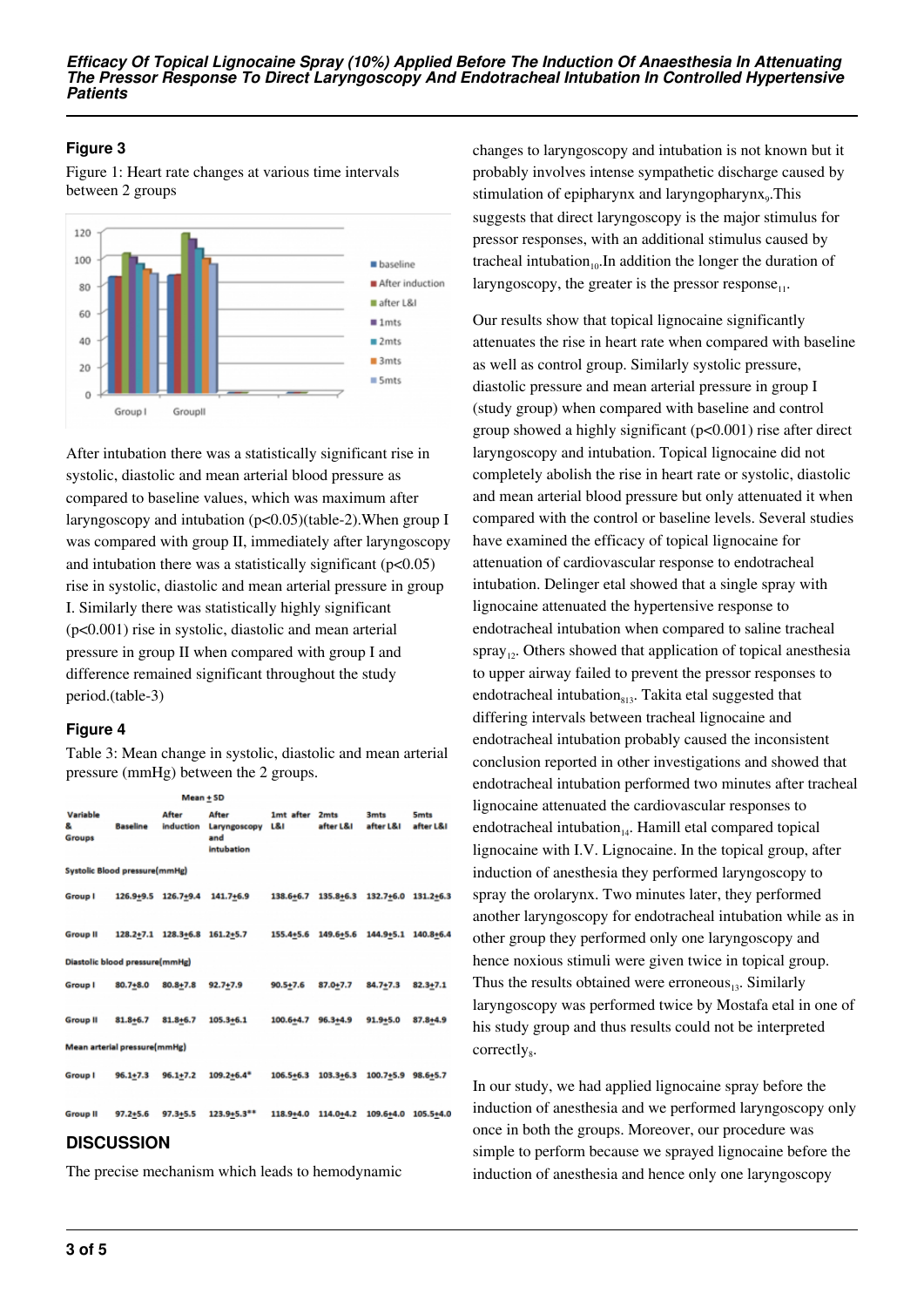## **Figure 3**

Figure 1: Heart rate changes at various time intervals between 2 groups



After intubation there was a statistically significant rise in systolic, diastolic and mean arterial blood pressure as compared to baseline values, which was maximum after laryngoscopy and intubation (p<0.05)(table-2).When group I was compared with group II, immediately after laryngoscopy and intubation there was a statistically significant  $(p<0.05)$ rise in systolic, diastolic and mean arterial pressure in group I. Similarly there was statistically highly significant (p<0.001) rise in systolic, diastolic and mean arterial pressure in group II when compared with group I and difference remained significant throughout the study period.(table-3)

## **Figure 4**

Table 3: Mean change in systolic, diastolic and mean arterial pressure (mmHg) between the 2 groups.

|                    |                                      | Mean + SD    |                                                                                                                                                                                                                                                                                                                                        |                     |             |
|--------------------|--------------------------------------|--------------|----------------------------------------------------------------------------------------------------------------------------------------------------------------------------------------------------------------------------------------------------------------------------------------------------------------------------------------|---------------------|-------------|
| Variable<br>Groups |                                      | <b>After</b> | <b>After</b> and the state of the state of the state of the state of the state of the state of the state of the state of the state of the state of the state of the state of the state of the state of the state of the state of th<br>& Baseline induction Laryngoscopy L&I after L&I after L&I after L&I<br>and<br><b>Intubation</b> | 1mt after 2mts 3mts | <b>5mts</b> |
|                    | <b>Systolic Blood pressure(mmHg)</b> |              |                                                                                                                                                                                                                                                                                                                                        |                     |             |
|                    |                                      |              | Group   126.9+9.5 126.7+9.4 141.7+6.9 138.6+6.7 135.8+6.3 132.7+6.0 131.2+6.3                                                                                                                                                                                                                                                          |                     |             |
|                    |                                      |              | Group II 128.2+7.1 128.3+6.8 161.2+5.7 155.4+5.6 149.6+5.6 144.9+5.1 140.8+6.4                                                                                                                                                                                                                                                         |                     |             |
|                    | Diastolic blood pressure(mmHg)       |              |                                                                                                                                                                                                                                                                                                                                        |                     |             |
|                    |                                      |              | Group   80.7+8.0 80.8+7.8 92.7+7.9 90.5+7.6 87.0+7.7 84.7+7.3 82.3+7.1                                                                                                                                                                                                                                                                 |                     |             |
|                    |                                      |              | Group II 81.8+6.7 81.8+6.7 105.3+6.1 100.6+4.7 96.3+4.9 91.9+5.0 87.8+4.9                                                                                                                                                                                                                                                              |                     |             |
|                    | Mean arterial pressure(mmHg)         |              |                                                                                                                                                                                                                                                                                                                                        |                     |             |
|                    |                                      |              | Group   96.1+7.3 96.1+7.2 109.2+6.4* 106.5+6.3 103.3+6.3 100.7+5.9 98.6+5.7                                                                                                                                                                                                                                                            |                     |             |
|                    |                                      |              | Group II 97.2+5.6 97.3+5.5 123.9+5.3** 118.9+4.0 114.0+4.2 109.6+4.0 105.5+4.0                                                                                                                                                                                                                                                         |                     |             |
|                    | <b>DICOUCCION</b>                    |              |                                                                                                                                                                                                                                                                                                                                        |                     |             |

## **DISCUSSION**

The precise mechanism which leads to hemodynamic

changes to laryngoscopy and intubation is not known but it probably involves intense sympathetic discharge caused by stimulation of epipharynx and laryngopharynx<sub>9</sub>. This suggests that direct laryngoscopy is the major stimulus for pressor responses, with an additional stimulus caused by tracheal intubation<sub>10</sub>.In addition the longer the duration of laryngoscopy, the greater is the pressor response $_{11}$ .

Our results show that topical lignocaine significantly attenuates the rise in heart rate when compared with baseline as well as control group. Similarly systolic pressure, diastolic pressure and mean arterial pressure in group I (study group) when compared with baseline and control group showed a highly significant (p<0.001) rise after direct laryngoscopy and intubation. Topical lignocaine did not completely abolish the rise in heart rate or systolic, diastolic and mean arterial blood pressure but only attenuated it when compared with the control or baseline levels. Several studies have examined the efficacy of topical lignocaine for attenuation of cardiovascular response to endotracheal intubation. Delinger etal showed that a single spray with lignocaine attenuated the hypertensive response to endotracheal intubation when compared to saline tracheal spray<sub>12</sub>. Others showed that application of topical anesthesia to upper airway failed to prevent the pressor responses to endotracheal intubation $_{813}$ . Takita etal suggested that differing intervals between tracheal lignocaine and endotracheal intubation probably caused the inconsistent conclusion reported in other investigations and showed that endotracheal intubation performed two minutes after tracheal lignocaine attenuated the cardiovascular responses to endotracheal intubation $_{14}$ . Hamill etal compared topical lignocaine with I.V. Lignocaine. In the topical group, after induction of anesthesia they performed laryngoscopy to spray the orolarynx. Two minutes later, they performed another laryngoscopy for endotracheal intubation while as in other group they performed only one laryngoscopy and hence noxious stimuli were given twice in topical group. Thus the results obtained were erroneous $_{13}$ . Similarly laryngoscopy was performed twice by Mostafa etal in one of his study group and thus results could not be interpreted correctly<sub>8</sub>.

In our study, we had applied lignocaine spray before the induction of anesthesia and we performed laryngoscopy only once in both the groups. Moreover, our procedure was simple to perform because we sprayed lignocaine before the induction of anesthesia and hence only one laryngoscopy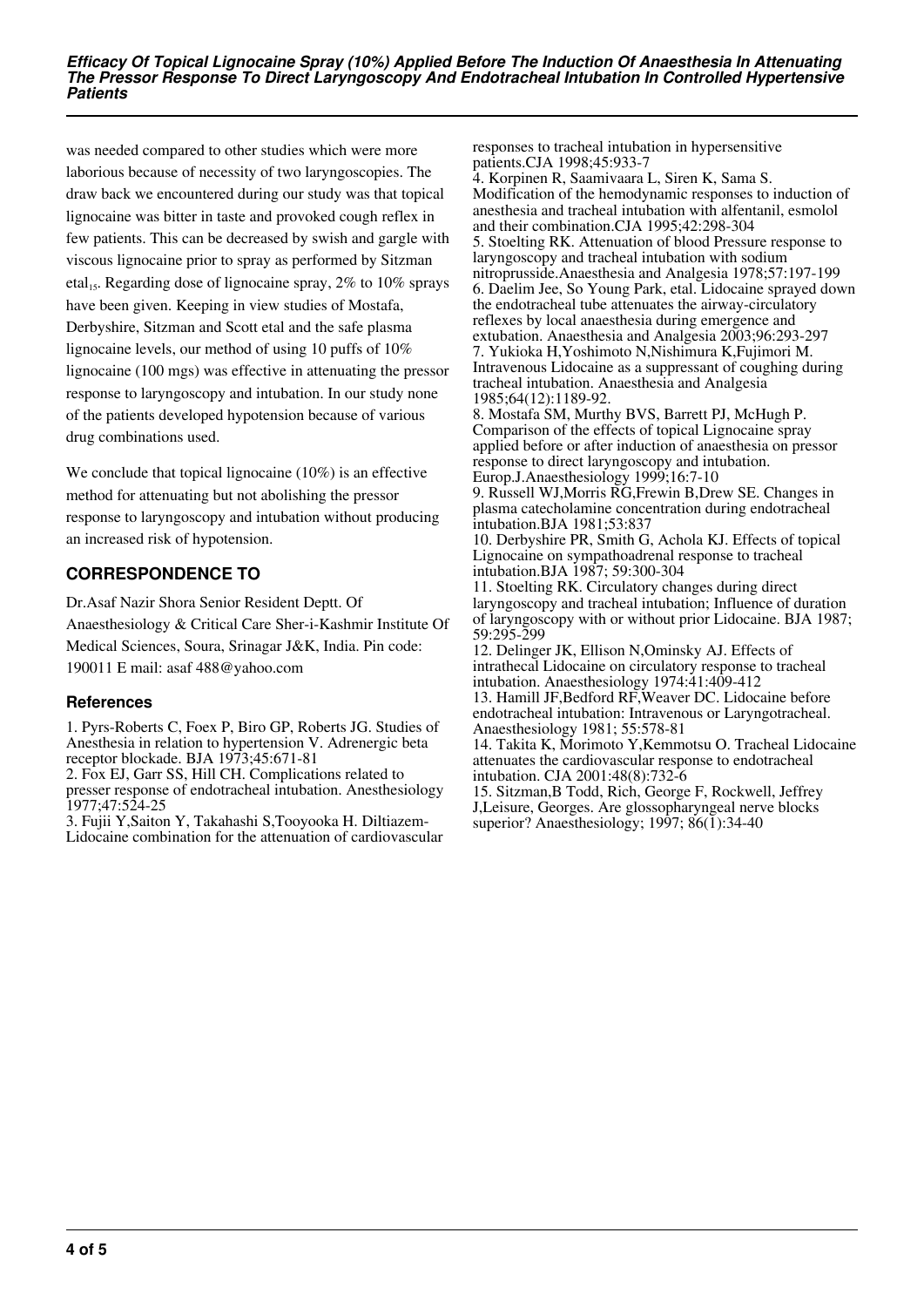was needed compared to other studies which were more laborious because of necessity of two laryngoscopies. The draw back we encountered during our study was that topical lignocaine was bitter in taste and provoked cough reflex in few patients. This can be decreased by swish and gargle with viscous lignocaine prior to spray as performed by Sitzman etal<sub>15</sub>. Regarding dose of lignocaine spray,  $2\%$  to  $10\%$  sprays have been given. Keeping in view studies of Mostafa, Derbyshire, Sitzman and Scott etal and the safe plasma lignocaine levels, our method of using 10 puffs of 10% lignocaine (100 mgs) was effective in attenuating the pressor response to laryngoscopy and intubation. In our study none of the patients developed hypotension because of various drug combinations used.

We conclude that topical lignocaine (10%) is an effective method for attenuating but not abolishing the pressor response to laryngoscopy and intubation without producing an increased risk of hypotension.

# **CORRESPONDENCE TO**

Dr.Asaf Nazir Shora Senior Resident Deptt. Of Anaesthesiology & Critical Care Sher-i-Kashmir Institute Of Medical Sciences, Soura, Srinagar J&K, India. Pin code: 190011 E mail: asaf 488@yahoo.com

## **References**

1. Pyrs-Roberts C, Foex P, Biro GP, Roberts JG. Studies of Anesthesia in relation to hypertension V. Adrenergic beta receptor blockade. BJA 1973;45:671-81

2. Fox EJ, Garr SS, Hill CH. Complications related to presser response of endotracheal intubation. Anesthesiology 1977;47:524-25

3. Fujii Y,Saiton Y, Takahashi S,Tooyooka H. Diltiazem-Lidocaine combination for the attenuation of cardiovascular responses to tracheal intubation in hypersensitive patients.CJA 1998;45:933-7

4. Korpinen R, Saamivaara L, Siren K, Sama S. Modification of the hemodynamic responses to induction of anesthesia and tracheal intubation with alfentanil, esmolol and their combination.CJA 1995;42:298-304 5. Stoelting RK. Attenuation of blood Pressure response to laryngoscopy and tracheal intubation with sodium nitroprusside.Anaesthesia and Analgesia 1978;57:197-199 6. Daelim Jee, So Young Park, etal. Lidocaine sprayed down the endotracheal tube attenuates the airway-circulatory reflexes by local anaesthesia during emergence and extubation. Anaesthesia and Analgesia 2003;96:293-297 7. Yukioka H,Yoshimoto N,Nishimura K,Fujimori M. Intravenous Lidocaine as a suppressant of coughing during tracheal intubation. Anaesthesia and Analgesia 1985;64(12):1189-92.

8. Mostafa SM, Murthy BVS, Barrett PJ, McHugh P. Comparison of the effects of topical Lignocaine spray applied before or after induction of anaesthesia on pressor response to direct laryngoscopy and intubation. Europ.J.Anaesthesiology 1999;16:7-10

9. Russell WJ,Morris RG,Frewin B,Drew SE. Changes in plasma catecholamine concentration during endotracheal intubation.BJA 1981;53:837

10. Derbyshire PR, Smith G, Achola KJ. Effects of topical Lignocaine on sympathoadrenal response to tracheal intubation.BJA 1987; 59:300-304

11. Stoelting RK. Circulatory changes during direct laryngoscopy and tracheal intubation; Influence of duration of laryngoscopy with or without prior Lidocaine. BJA 1987; 59:295-299

12. Delinger JK, Ellison N,Ominsky AJ. Effects of intrathecal Lidocaine on circulatory response to tracheal intubation. Anaesthesiology 1974:41:409-412

13. Hamill JF,Bedford RF,Weaver DC. Lidocaine before endotracheal intubation: Intravenous or Laryngotracheal. Anaesthesiology 1981; 55:578-81

14. Takita K, Morimoto Y,Kemmotsu O. Tracheal Lidocaine attenuates the cardiovascular response to endotracheal intubation. CJA 2001:48(8):732-6

15. Sitzman,B Todd, Rich, George F, Rockwell, Jeffrey J,Leisure, Georges. Are glossopharyngeal nerve blocks superior? Anaesthesiology; 1997; 86(1):34-40